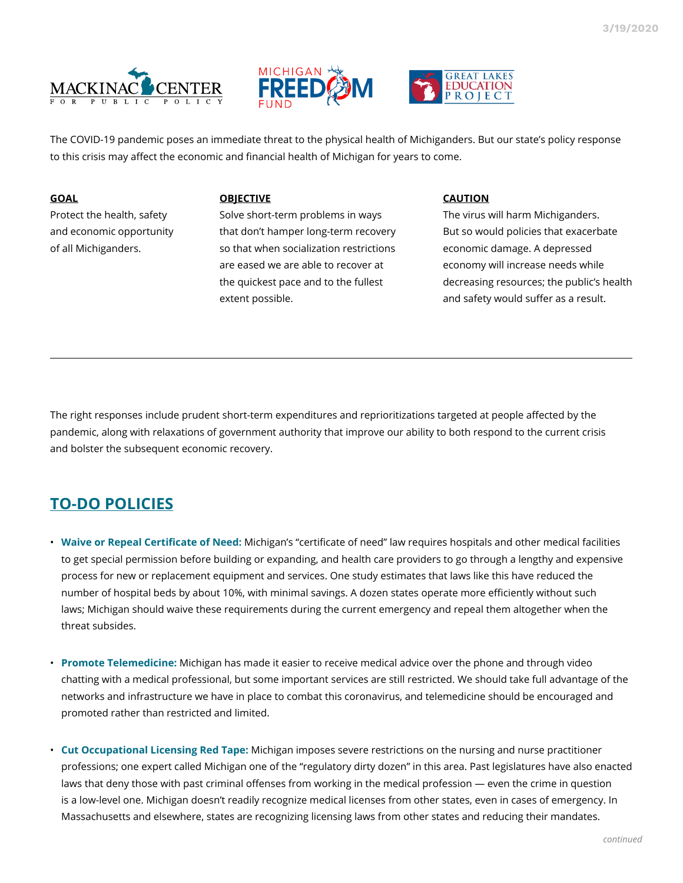





The COVID-19 pandemic poses an immediate threat to the physical health of Michiganders. But our state's policy response to this crisis may affect the economic and financial health of Michigan for years to come.

### **GOAL**

Protect the health, safety and economic opportunity of all Michiganders.

#### **OBJECTIVE**

Solve short-term problems in ways that don't hamper long-term recovery so that when socialization restrictions are eased we are able to recover at the quickest pace and to the fullest extent possible.

#### **CAUTION**

The virus will harm Michiganders. But so would policies that exacerbate economic damage. A depressed economy will increase needs while decreasing resources; the public's health and safety would suffer as a result.

The right responses include prudent short-term expenditures and reprioritizations targeted at people affected by the pandemic, along with relaxations of government authority that improve our ability to both respond to the current crisis and bolster the subsequent economic recovery.

# **TO-DO POLICIES**

- **Waive or Repeal Certificate of Need:** Michigan's "certificate of need" law requires hospitals and other medical facilities to get special permission before building or expanding, and health care providers to go through a lengthy and expensive process for new or replacement equipment and services. One study estimates that laws like this have reduced the number of hospital beds by about 10%, with minimal savings. A dozen states operate more efficiently without such laws; Michigan should waive these requirements during the current emergency and repeal them altogether when the threat subsides.
- **Promote Telemedicine:** Michigan has made it easier to receive medical advice over the phone and through video chatting with a medical professional, but some important services are still restricted. We should take full advantage of the networks and infrastructure we have in place to combat this coronavirus, and telemedicine should be encouraged and promoted rather than restricted and limited.
- **Cut Occupational Licensing Red Tape:** Michigan imposes severe restrictions on the nursing and nurse practitioner professions; one expert called Michigan one of the "regulatory dirty dozen" in this area. Past legislatures have also enacted laws that deny those with past criminal offenses from working in the medical profession — even the crime in question is a low-level one. Michigan doesn't readily recognize medical licenses from other states, even in cases of emergency. In Massachusetts and elsewhere, states are recognizing licensing laws from other states and reducing their mandates.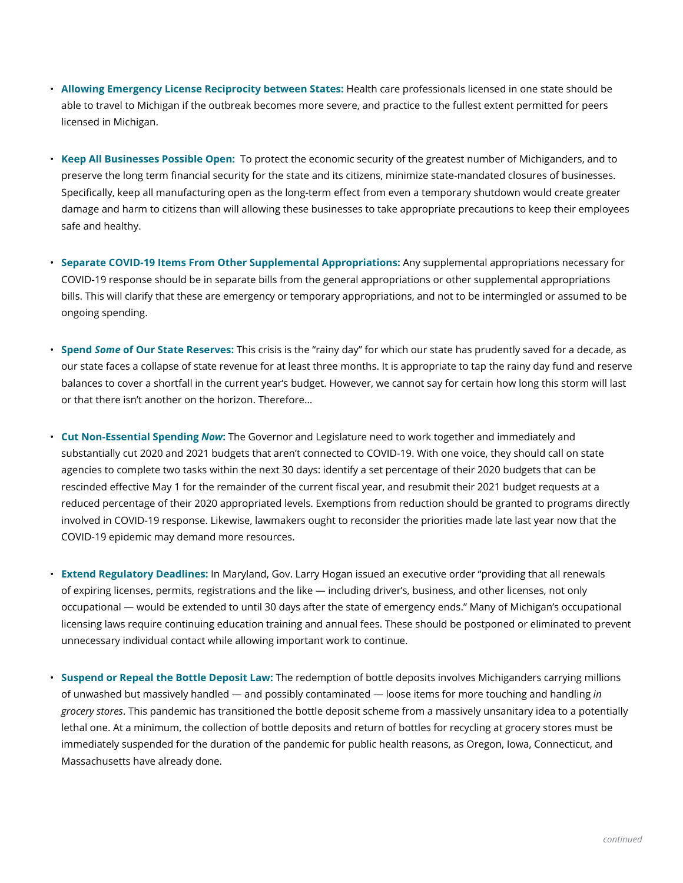- **Allowing Emergency License Reciprocity between States:** Health care professionals licensed in one state should be able to travel to Michigan if the outbreak becomes more severe, and practice to the fullest extent permitted for peers licensed in Michigan.
- **Keep All Businesses Possible Open:** To protect the economic security of the greatest number of Michiganders, and to preserve the long term financial security for the state and its citizens, minimize state-mandated closures of businesses. Specifically, keep all manufacturing open as the long-term effect from even a temporary shutdown would create greater damage and harm to citizens than will allowing these businesses to take appropriate precautions to keep their employees safe and healthy.
- **Separate COVID-19 Items From Other Supplemental Appropriations:** Any supplemental appropriations necessary for COVID-19 response should be in separate bills from the general appropriations or other supplemental appropriations bills. This will clarify that these are emergency or temporary appropriations, and not to be intermingled or assumed to be ongoing spending.
- **Spend** *Some* **of Our State Reserves:** This crisis is the "rainy day" for which our state has prudently saved for a decade, as our state faces a collapse of state revenue for at least three months. It is appropriate to tap the rainy day fund and reserve balances to cover a shortfall in the current year's budget. However, we cannot say for certain how long this storm will last or that there isn't another on the horizon. Therefore…
- **Cut Non-Essential Spending** *Now***:** The Governor and Legislature need to work together and immediately and substantially cut 2020 and 2021 budgets that aren't connected to COVID-19. With one voice, they should call on state agencies to complete two tasks within the next 30 days: identify a set percentage of their 2020 budgets that can be rescinded effective May 1 for the remainder of the current fiscal year, and resubmit their 2021 budget requests at a reduced percentage of their 2020 appropriated levels. Exemptions from reduction should be granted to programs directly involved in COVID-19 response. Likewise, lawmakers ought to reconsider the priorities made late last year now that the COVID-19 epidemic may demand more resources.
- **Extend Regulatory Deadlines:** In Maryland, Gov. Larry Hogan issued an executive order "providing that all renewals of expiring licenses, permits, registrations and the like — including driver's, business, and other licenses, not only occupational — would be extended to until 30 days after the state of emergency ends." Many of Michigan's occupational licensing laws require continuing education training and annual fees. These should be postponed or eliminated to prevent unnecessary individual contact while allowing important work to continue.
- **Suspend or Repeal the Bottle Deposit Law:** The redemption of bottle deposits involves Michiganders carrying millions of unwashed but massively handled — and possibly contaminated — loose items for more touching and handling *in grocery stores*. This pandemic has transitioned the bottle deposit scheme from a massively unsanitary idea to a potentially lethal one. At a minimum, the collection of bottle deposits and return of bottles for recycling at grocery stores must be immediately suspended for the duration of the pandemic for public health reasons, as Oregon, Iowa, Connecticut, and Massachusetts have already done.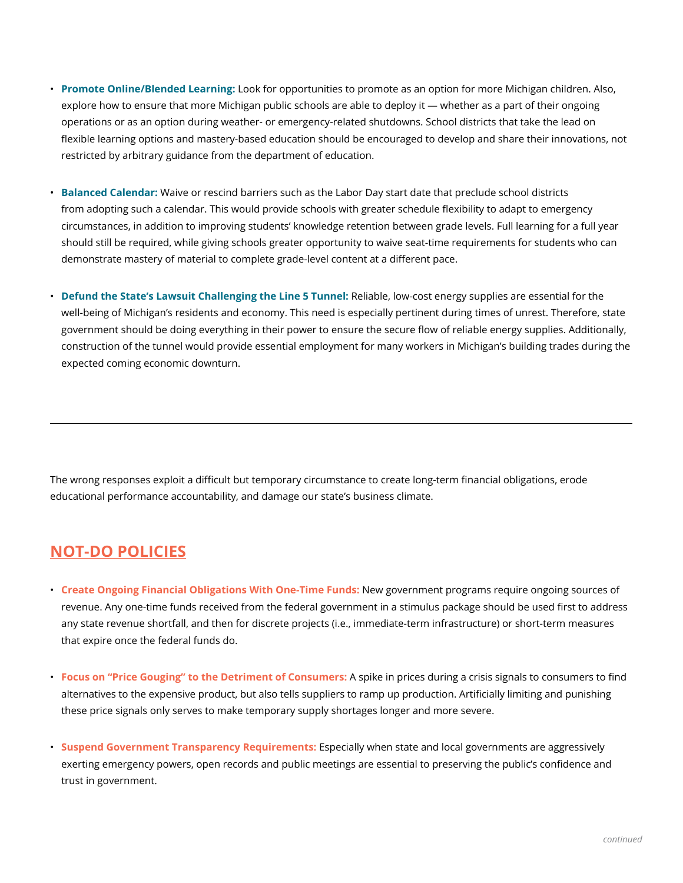- **Promote Online/Blended Learning:** Look for opportunities to promote as an option for more Michigan children. Also, explore how to ensure that more Michigan public schools are able to deploy it — whether as a part of their ongoing operations or as an option during weather- or emergency-related shutdowns. School districts that take the lead on flexible learning options and mastery-based education should be encouraged to develop and share their innovations, not restricted by arbitrary guidance from the department of education.
- **Balanced Calendar:** Waive or rescind barriers such as the Labor Day start date that preclude school districts from adopting such a calendar. This would provide schools with greater schedule flexibility to adapt to emergency circumstances, in addition to improving students' knowledge retention between grade levels. Full learning for a full year should still be required, while giving schools greater opportunity to waive seat-time requirements for students who can demonstrate mastery of material to complete grade-level content at a different pace.
- **Defund the State's Lawsuit Challenging the Line 5 Tunnel:** Reliable, low-cost energy supplies are essential for the well-being of Michigan's residents and economy. This need is especially pertinent during times of unrest. Therefore, state government should be doing everything in their power to ensure the secure flow of reliable energy supplies. Additionally, construction of the tunnel would provide essential employment for many workers in Michigan's building trades during the expected coming economic downturn.

The wrong responses exploit a difficult but temporary circumstance to create long-term financial obligations, erode educational performance accountability, and damage our state's business climate.

## **NOT-DO POLICIES**

- **Create Ongoing Financial Obligations With One-Time Funds:** New government programs require ongoing sources of revenue. Any one-time funds received from the federal government in a stimulus package should be used first to address any state revenue shortfall, and then for discrete projects (i.e., immediate-term infrastructure) or short-term measures that expire once the federal funds do.
- **Focus on "Price Gouging" to the Detriment of Consumers:** A spike in prices during a crisis signals to consumers to find alternatives to the expensive product, but also tells suppliers to ramp up production. Artificially limiting and punishing these price signals only serves to make temporary supply shortages longer and more severe.
- **Suspend Government Transparency Requirements:** Especially when state and local governments are aggressively exerting emergency powers, open records and public meetings are essential to preserving the public's confidence and trust in government.